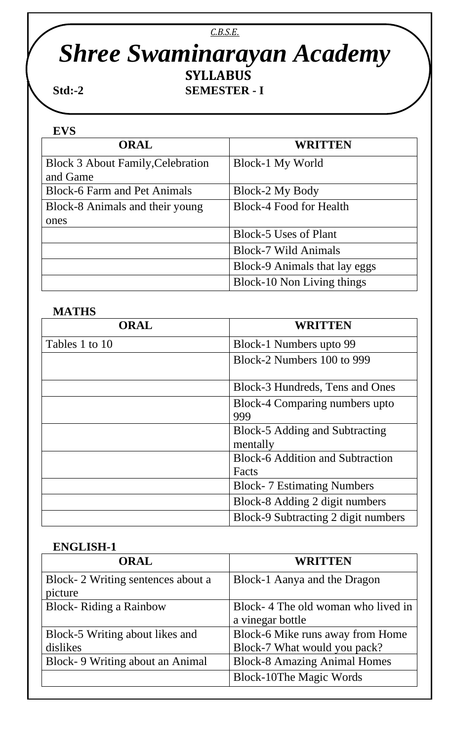# *C.B.S.E. Shree Swaminarayan Academy* STR STR SEMESTER SEMESTER

**Std:-2 SEMESTER - I**

#### **EVS**

| <b>ORAL</b>                              | <b>WRITTEN</b>                 |
|------------------------------------------|--------------------------------|
| <b>Block 3 About Family, Celebration</b> | Block-1 My World               |
| and Game                                 |                                |
| <b>Block-6 Farm and Pet Animals</b>      | Block-2 My Body                |
| Block-8 Animals and their young          | <b>Block-4 Food for Health</b> |
| ones                                     |                                |
|                                          | <b>Block-5 Uses of Plant</b>   |
|                                          | <b>Block-7 Wild Animals</b>    |
|                                          | Block-9 Animals that lay eggs  |
|                                          | Block-10 Non Living things     |

### **MATHS**

| ORAL           | <b>WRITTEN</b>                                   |
|----------------|--------------------------------------------------|
| Tables 1 to 10 | Block-1 Numbers upto 99                          |
|                | Block-2 Numbers 100 to 999                       |
|                | Block-3 Hundreds, Tens and Ones                  |
|                | Block-4 Comparing numbers upto<br>999            |
|                | Block-5 Adding and Subtracting<br>mentally       |
|                | <b>Block-6 Addition and Subtraction</b><br>Facts |
|                | <b>Block-7 Estimating Numbers</b>                |
|                | Block-8 Adding 2 digit numbers                   |
|                | Block-9 Subtracting 2 digit numbers              |

#### **ENGLISH-1**

| <b>ORAL</b>                                  | <b>WRITTEN</b>                                         |
|----------------------------------------------|--------------------------------------------------------|
| Block-2 Writing sentences about a<br>picture | Block-1 Aanya and the Dragon                           |
| <b>Block-Riding a Rainbow</b>                | Block-4 The old woman who lived in<br>a vinegar bottle |
| Block-5 Writing about likes and              | Block-6 Mike runs away from Home                       |
| dislikes                                     | Block-7 What would you pack?                           |
| Block-9 Writing about an Animal              | <b>Block-8 Amazing Animal Homes</b>                    |
|                                              | <b>Block-10The Magic Words</b>                         |